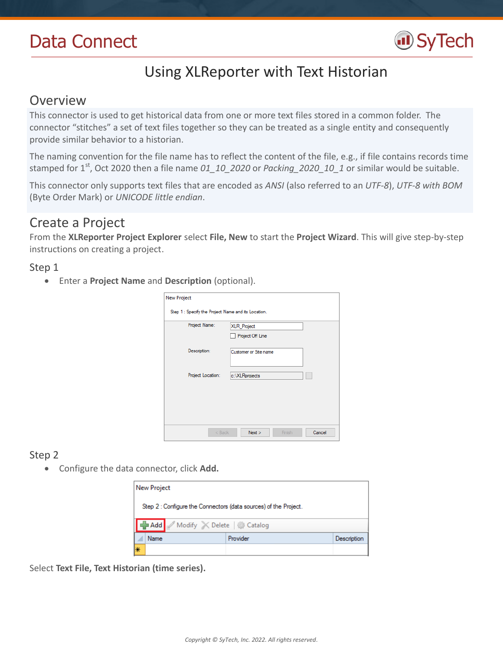

# Using XLReporter with Text Historian

## Overview

This connector is used to get historical data from one or more text files stored in a common folder. The connector "stitches" a set of text files together so they can be treated as a single entity and consequently provide similar behavior to a historian.

The naming convention for the file name has to reflect the content of the file, e.g., if file contains records time stamped for 1st, Oct 2020 then a file name *01\_10\_2020* or *Packing\_2020\_10\_1* or similar would be suitable.

This connector only supports text files that are encoded as *ANSI* (also referred to an *UTF-8*), *UTF-8 with BOM* (Byte Order Mark) or *UNICODE little endian*.

## Create a Project

From the **XLReporter Project Explorer** select **File, New** to start the **Project Wizard**. This will give step-by-step instructions on creating a project.

### Step 1

Enter a **Project Name** and **Description** (optional).

| <b>New Project</b>                                  |                          |
|-----------------------------------------------------|--------------------------|
| Step 1 : Specify the Project Name and its Location. |                          |
| Project Name:                                       | <b>XLR_Project</b>       |
|                                                     | Project Off Line         |
| Description:                                        | Customer or Site name    |
| Project Location:                                   | c:\XLRprojects           |
|                                                     |                          |
|                                                     |                          |
| $<$ Back                                            | Next<br>Cancel<br>Finish |

## Step 2

Configure the data connector, click **Add.**

|    | <b>New Project</b>                                               |          |             |  |  |
|----|------------------------------------------------------------------|----------|-------------|--|--|
|    | Step 2 : Configure the Connectors (data sources) of the Project. |          |             |  |  |
|    | Add Modify X Delete & Catalog                                    |          |             |  |  |
|    | Name                                                             | Provider | Description |  |  |
| l∗ |                                                                  |          |             |  |  |

Select **Text File, Text Historian (time series).**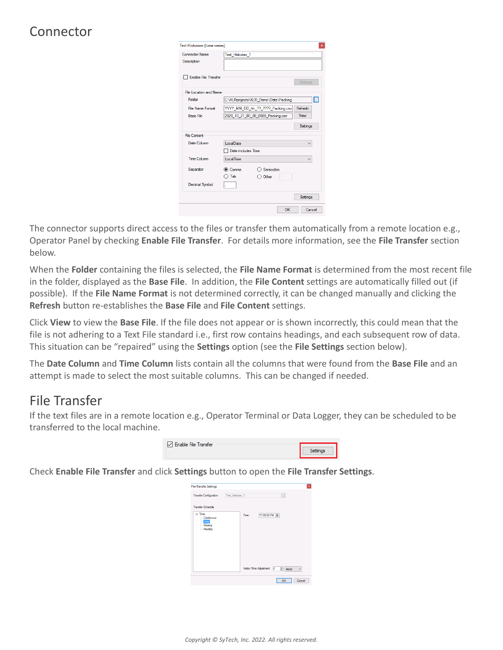# Connector

| Text Historian (time series) |                    |                                      | $\pmb{\times}$  |
|------------------------------|--------------------|--------------------------------------|-----------------|
| <b>Connector Name</b>        | Text Historian 1   |                                      |                 |
| <b>Description</b>           |                    |                                      |                 |
|                              |                    |                                      |                 |
| <b>Enable File Transfer</b>  |                    |                                      | Settings        |
| File Location and Name       |                    |                                      |                 |
|                              |                    |                                      |                 |
| Folder                       |                    | C:\XLRprojects\XLR Demo\Data\Packing | Ы               |
| <b>File Name Format</b>      |                    | YYYY MM DD hh ?? ???? Packing.csv    | Refresh         |
| <b>Base File</b>             |                    | 2020 10 21 00 00 0000 Packing.csv    | View            |
|                              |                    |                                      | <b>Settings</b> |
| <b>File Content</b>          |                    |                                      |                 |
| Date Column                  | LocalDate          |                                      |                 |
|                              | Date includes Time |                                      |                 |
| Time Column                  | <b>LocalTime</b>   |                                      |                 |
| Separator                    | Comma              | Semicolon                            |                 |
|                              | Tab                | $\supset$ Other                      |                 |
| <b>Decimal Symbol</b>        |                    |                                      |                 |
|                              |                    |                                      | <b>Settings</b> |
|                              |                    | OK                                   | Cancel          |

The connector supports direct access to the files or transfer them automatically from a remote location e.g., Operator Panel by checking **Enable File Transfer**. For details more information, see the **File Transfer** section below.

When the **Folder** containing the files is selected, the **File Name Format** is determined from the most recent file in the folder, displayed as the **Base File**. In addition, the **File Content** settings are automatically filled out (if possible). If the **File Name Format** is not determined correctly, it can be changed manually and clicking the **Refresh** button re-establishes the **Base File** and **File Content** settings.

Click **View** to view the **Base File**. If the file does not appear or is shown incorrectly, this could mean that the file is not adhering to a Text File standard i.e., first row contains headings, and each subsequent row of data. This situation can be "repaired" using the **Settings** option (see the **File Settings** section below).

The **Date Column** and **Time Column** lists contain all the columns that were found from the **Base File** and an attempt is made to select the most suitable columns. This can be changed if needed.

# File Transfer

If the text files are in a remote location e.g., Operator Terminal or Data Logger, they can be scheduled to be transferred to the local machine.

| Enable File Transfer |          |
|----------------------|----------|
|                      | Settings |
|                      |          |

Check **Enable File Transfer** and click **Settings** button to open the **File Transfer Settings**.

| <b>File Transfer Settings</b>                                       |                  |       |                                          |               | ×            |
|---------------------------------------------------------------------|------------------|-------|------------------------------------------|---------------|--------------|
| <b>Transfer Configuration</b>                                       | Text_Historian_1 |       |                                          | H.            |              |
| <b>Transfer Schedule</b>                                            |                  |       |                                          |               |              |
| <b>E</b> -Time<br>-- Continuous<br>- Daily<br>- Weekly<br>- Monthly |                  | Time: | 11:59:59 PM<br>Action Time Adjustment: 0 | $\div$ day(s) | $\checkmark$ |
|                                                                     |                  |       |                                          |               |              |
|                                                                     |                  |       |                                          | OK            | Cancel       |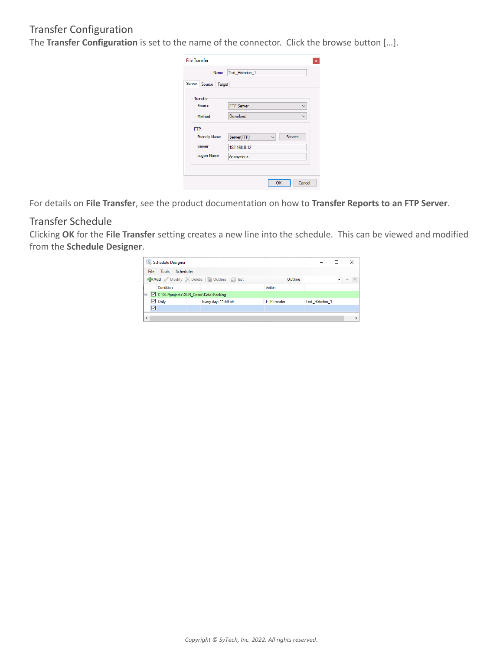## Transfer Configuration

The **Transfer Configuration** is set to the name of the connector. Click the browse button […].

| <b>File Transfer</b> | $\pmb{\times}$                         |
|----------------------|----------------------------------------|
| Name                 | Text_Historian_1                       |
| Server Source Target |                                        |
| Transfer             |                                        |
| Source               | <b>FTP Server</b><br>$\checkmark$      |
| Method               | Download<br>$\checkmark$               |
| <b>FTP</b>           |                                        |
| <b>Friendly Name</b> | Servers<br>Server(FTP)<br>$\checkmark$ |
| Server               | 192.168.8.12                           |
| Logon Name           | Anonymous                              |
|                      |                                        |
|                      |                                        |
|                      | OK<br>Cancel                           |

For details on **File Transfer**, see the product documentation on how to **Transfer Reports to an FTP Server**.

### Transfer Schedule

Clicking **OK** for the **File Transfer** setting creates a new line into the schedule. This can be viewed and modified from the **Schedule Designer**.

|            |      | Schedule Designer                    |                                           |        |                    |                  | ×                             |
|------------|------|--------------------------------------|-------------------------------------------|--------|--------------------|------------------|-------------------------------|
|            | File | Scheduler<br><b>Tools</b>            |                                           |        |                    |                  |                               |
|            |      |                                      | Add Modify X Delete   an Outline   D Test |        | Outline            |                  | $\bullet$ $\bullet$ $\bullet$ |
|            |      | Condition                            |                                           | Action |                    |                  |                               |
| le.        |      | C:\XLRprojects\XLR_Demo\Data\Packing |                                           |        |                    |                  |                               |
|            |      | $\boxdot$ Daily                      | Every day: 11:59:59                       |        | <b>FTPTransfer</b> | Text Historian 1 |                               |
|            | ☑    |                                      |                                           |        |                    |                  |                               |
| $\epsilon$ |      |                                      |                                           |        |                    |                  |                               |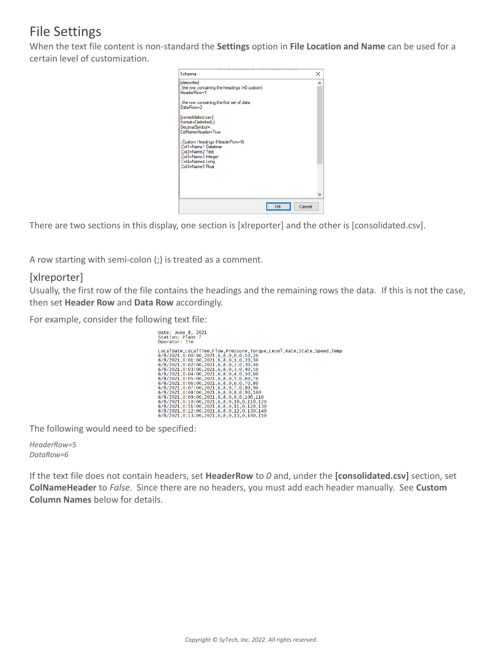# File Settings

When the text file content is non-standard the **Settings** option in **File Location and Name** can be used for a certain level of customization.



There are two sections in this display, one section is [xlreporter] and the other is [consolidated.csv].

A row starting with semi-colon (;) is treated as a comment.

### [xlreporter]

Usually, the first row of the file contains the headings and the remaining rows the data. If this is not the case, then set **Header Row** and **Data Row** accordingly.

For example, consider the following text file:

| Date: June 8, 2021<br>Station: Plant 7<br>Operator: Jim                                                                                                                                                                                                                                                                                                                                                                                                                                                                                                                                                                                                                                                                                                      |
|--------------------------------------------------------------------------------------------------------------------------------------------------------------------------------------------------------------------------------------------------------------------------------------------------------------------------------------------------------------------------------------------------------------------------------------------------------------------------------------------------------------------------------------------------------------------------------------------------------------------------------------------------------------------------------------------------------------------------------------------------------------|
| LocalDate,LocalTime,Flow,Pressure,Torque,Level,Rate,State,Speed,Temp<br>6/8/2021, 0:00:00, 2021, 6, 8, 0, 0, 0, 10, 20<br>6/8/2021, 0:01:00, 2021, 6, 8, 0, 1, 0, 20, 30<br>$6/8/2021, 0:02:00, 2021, 6, 8, 0, 2, 0, 30, 40$<br>6/8/2021, 0:03:00, 2021, 6, 8, 0, 3, 0, 40, 50<br>6/8/2021, 0:04:00, 2021, 6, 8, 0, 4, 0, 50, 60<br>6/8/2021, 0:05:00, 2021, 6, 8, 0, 5, 0, 60, 70<br>6/8/2021, 0:06:00, 2021, 6, 8, 0, 6, 0, 70, 80<br>6/8/2021.0:07:00.2021.6.8.0.7.0.80.90<br>$6/8/2021.0:08:00.2021.6.8.0.8.0.90.100$<br>6/8/2021.0:09:00, 2021, 6, 8, 0, 9, 0, 100, 110<br>6/8/2021.0:10:00.2021.6.8.0.10.0.110.120<br>6/8/2021.0:11:00.2021.6.8.0.11.0.120.130<br>6/8/2021.0:12:00.2021.6.8.0.12.0.130.140<br>6/8/2021.0:13:00.2021.6.8.0.13.0.140.150 |

The following would need to be specified:

*HeaderRow=5 DataRow=6*

If the text file does not contain headers, set **HeaderRow** to *0* and, under the **[consolidated.csv]** section, set **ColNameHeader** to *False*. Since there are no headers, you must add each header manually. See **Custom Column Names** below for details.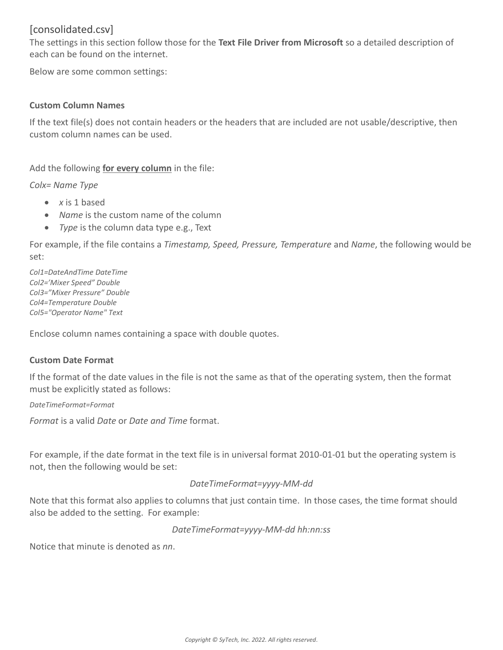### [consolidated.csv]

The settings in this section follow those for the **Text File Driver from Microsoft** so a detailed description of each can be found on the internet.

Below are some common settings:

#### **Custom Column Names**

If the text file(s) does not contain headers or the headers that are included are not usable/descriptive, then custom column names can be used.

Add the following **for every column** in the file:

*Colx= Name Type*

- *x* is 1 based
- *Name* is the custom name of the column
- *Type* is the column data type e.g., Text

For example, if the file contains a *Timestamp, Speed, Pressure, Temperature* and *Name*, the following would be set:

*Col1=DateAndTime DateTime Col2='Mixer Speed" Double Col3="Mixer Pressure" Double Col4=Temperature Double Col5="Operator Name" Text*

Enclose column names containing a space with double quotes.

#### **Custom Date Format**

If the format of the date values in the file is not the same as that of the operating system, then the format must be explicitly stated as follows:

*DateTimeFormat=Format*

*Format* is a valid *Date* or *Date and Time* format.

For example, if the date format in the text file is in universal format 2010-01-01 but the operating system is not, then the following would be set:

#### *DateTimeFormat=yyyy-MM-dd*

Note that this format also applies to columns that just contain time. In those cases, the time format should also be added to the setting. For example:

*DateTimeFormat=yyyy-MM-dd hh:nn:ss*

Notice that minute is denoted as *nn*.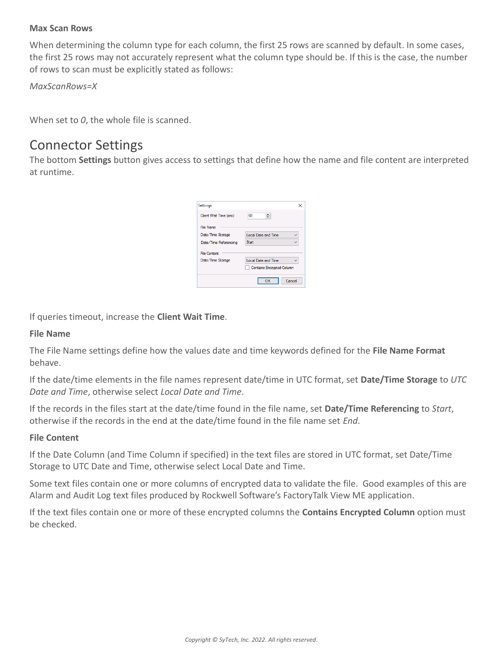#### **Max Scan Rows**

When determining the column type for each column, the first 25 rows are scanned by default. In some cases, the first 25 rows may not accurately represent what the column type should be. If this is the case, the number of rows to scan must be explicitly stated as follows:

*MaxScanRows=X*

When set to *0*, the whole file is scanned.

# Connector Settings

The bottom **Settings** button gives access to settings that define how the name and file content are interpreted at runtime.

| Settings               |                                  |
|------------------------|----------------------------------|
| Client Wait Time (sec) | 60<br>÷                          |
| <b>File Name</b>       |                                  |
| Date/Time Storage      | <b>Local Date and Time</b>       |
| Date/Time Referencing  | Start                            |
| <b>File Content</b>    |                                  |
| Date/Time Storage      | Local Date and Time              |
|                        | <b>Contains Encrypted Column</b> |
|                        | Cancel<br>OK                     |

If queries timeout, increase the **Client Wait Time**.

#### **File Name**

The File Name settings define how the values date and time keywords defined for the **File Name Format** behave.

If the date/time elements in the file names represent date/time in UTC format, set **Date/Time Storage** to *UTC Date and Time*, otherwise select *Local Date and Time*.

If the records in the files start at the date/time found in the file name, set **Date/Time Referencing** to *Start*, otherwise if the records in the end at the date/time found in the file name set *End*.

#### **File Content**

If the Date Column (and Time Column if specified) in the text files are stored in UTC format, set Date/Time Storage to UTC Date and Time, otherwise select Local Date and Time.

Some text files contain one or more columns of encrypted data to validate the file. Good examples of this are Alarm and Audit Log text files produced by Rockwell Software's FactoryTalk View ME application.

If the text files contain one or more of these encrypted columns the **Contains Encrypted Column** option must be checked.